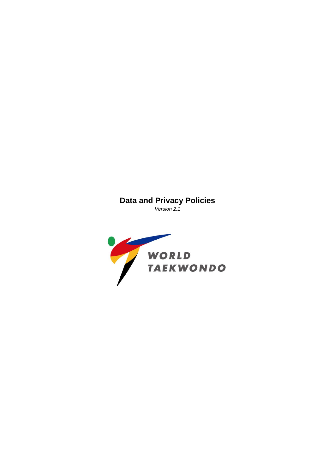# **Data and Privacy Policies**

*Version 2.1*

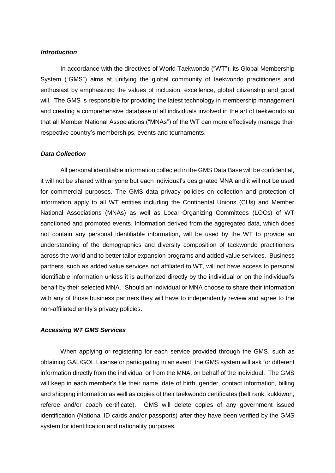### *Introduction*

In accordance with the directives of World Taekwondo ("WT"), its Global Membership System ("GMS") aims at unifying the global community of taekwondo practitioners and enthusiast by emphasizing the values of inclusion, excellence, global citizenship and good will. The GMS is responsible for providing the latest technology in membership management and creating a comprehensive database of all individuals involved in the art of taekwondo so that all Member National Associations ("MNAs") of the WT can more effectively manage their respective country's memberships, events and tournaments.

#### *Data Collection*

All personal identifiable information collected in the GMS Data Base will be confidential, it will not be shared with anyone but each individual's designated MNA and it will not be used for commercial purposes. The GMS data privacy policies on collection and protection of information apply to all WT entities including the Continental Unions (CUs) and Member National Associations (MNAs) as well as Local Organizing Committees (LOCs) of WT sanctioned and promoted events. Information derived from the aggregated data, which does not contain any personal identifiable information, will be used by the WT to provide an understanding of the demographics and diversity composition of taekwondo practitioners across the world and to better tailor expansion programs and added value services. Business partners, such as added value services not affiliated to WT, will not have access to personal identifiable information unless it is authorized directly by the individual or on the individual's behalf by their selected MNA. Should an individual or MNA choose to share their information with any of those business partners they will have to independently review and agree to the non-affiliated entity's privacy policies.

#### *Accessing WT GMS Services*

When applying or registering for each service provided through the GMS, such as obtaining GAL/GOL License or participating in an event, the GMS system will ask for different information directly from the individual or from the MNA, on behalf of the individual. The GMS will keep in each member's file their name, date of birth, gender, contact information, billing and shipping information as well as copies of their taekwondo certificates (belt rank, kukkiwon, referee and/or coach certificate). GMS will delete copies of any government issued identification (National ID cards and/or passports) after they have been verified by the GMS system for identification and nationality purposes.